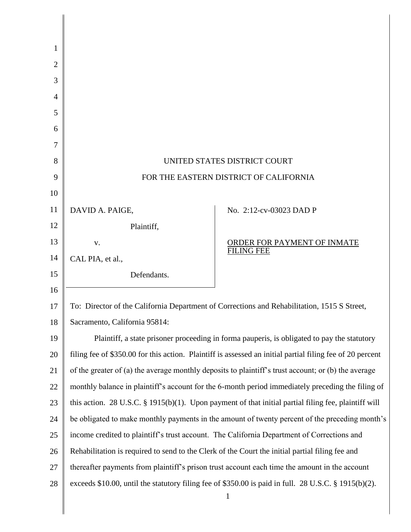| 1              |                                                                                                                      |                             |
|----------------|----------------------------------------------------------------------------------------------------------------------|-----------------------------|
| 2              |                                                                                                                      |                             |
| 3              |                                                                                                                      |                             |
| $\overline{4}$ |                                                                                                                      |                             |
| 5              |                                                                                                                      |                             |
| 6              |                                                                                                                      |                             |
| 7              |                                                                                                                      |                             |
| 8              | UNITED STATES DISTRICT COURT                                                                                         |                             |
| 9              | FOR THE EASTERN DISTRICT OF CALIFORNIA                                                                               |                             |
| 10             |                                                                                                                      |                             |
| 11             | DAVID A. PAIGE,                                                                                                      | No. 2:12-cv-03023 DAD P     |
| 12             | Plaintiff,                                                                                                           |                             |
| 13             | V.                                                                                                                   | ORDER FOR PAYMENT OF INMATE |
| 14             | CAL PIA, et al.,                                                                                                     | <b>FILING FEE</b>           |
| 15             | Defendants.                                                                                                          |                             |
| 16             |                                                                                                                      |                             |
| 17             | To: Director of the California Department of Corrections and Rehabilitation, 1515 S Street,                          |                             |
| 18             | Sacramento, California 95814:                                                                                        |                             |
| 19             | Plaintiff, a state prisoner proceeding in forma pauperis, is obligated to pay the statutory                          |                             |
| 20             | filing fee of \$350.00 for this action. Plaintiff is assessed an initial partial filing fee of 20 percent            |                             |
| 21             | of the greater of (a) the average monthly deposits to plaintiff's trust account; or (b) the average                  |                             |
| 22             | monthly balance in plaintiff's account for the 6-month period immediately preceding the filing of                    |                             |
| 23             | this action. 28 U.S.C. $\S$ 1915(b)(1). Upon payment of that initial partial filing fee, plaintiff will              |                             |
| 24             | be obligated to make monthly payments in the amount of twenty percent of the preceding month's                       |                             |
| 25             | income credited to plaintiff's trust account. The California Department of Corrections and                           |                             |
| 26             | Rehabilitation is required to send to the Clerk of the Court the initial partial filing fee and                      |                             |
| 27             | thereafter payments from plaintiff's prison trust account each time the amount in the account                        |                             |
| 28             | exceeds \$10.00, until the statutory filing fee of \$350.00 is paid in full. 28 U.S.C. § 1915(b)(2).<br>$\mathbf{1}$ |                             |